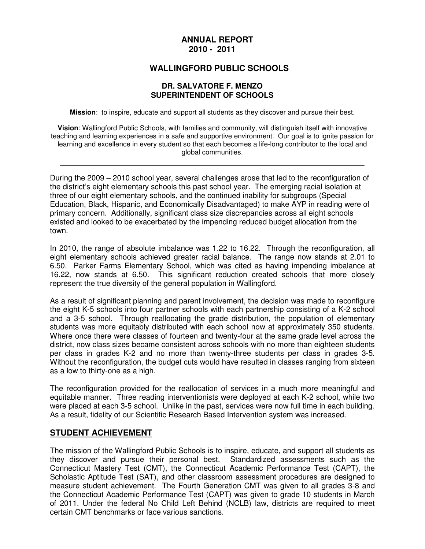#### **ANNUAL REPORT 2010 - 2011**

#### **WALLINGFORD PUBLIC SCHOOLS**

#### **DR. SALVATORE F. MENZO SUPERINTENDENT OF SCHOOLS**

**Mission**: to inspire, educate and support all students as they discover and pursue their best.

**Vision**: Wallingford Public Schools, with families and community, will distinguish itself with innovative teaching and learning experiences in a safe and supportive environment. Our goal is to ignite passion for learning and excellence in every student so that each becomes a life-long contributor to the local and global communities.

During the 2009 – 2010 school year, several challenges arose that led to the reconfiguration of the district's eight elementary schools this past school year. The emerging racial isolation at three of our eight elementary schools, and the continued inability for subgroups (Special Education, Black, Hispanic, and Economically Disadvantaged) to make AYP in reading were of primary concern. Additionally, significant class size discrepancies across all eight schools existed and looked to be exacerbated by the impending reduced budget allocation from the town.

In 2010, the range of absolute imbalance was 1.22 to 16.22. Through the reconfiguration, all eight elementary schools achieved greater racial balance. The range now stands at 2.01 to 6.50. Parker Farms Elementary School, which was cited as having impending imbalance at 16.22, now stands at 6.50. This significant reduction created schools that more closely represent the true diversity of the general population in Wallingford.

As a result of significant planning and parent involvement, the decision was made to reconfigure the eight K-5 schools into four partner schools with each partnership consisting of a K-2 school and a 3-5 school. Through reallocating the grade distribution, the population of elementary students was more equitably distributed with each school now at approximately 350 students. Where once there were classes of fourteen and twenty-four at the same grade level across the district, now class sizes became consistent across schools with no more than eighteen students per class in grades K-2 and no more than twenty-three students per class in grades 3-5. Without the reconfiguration, the budget cuts would have resulted in classes ranging from sixteen as a low to thirty-one as a high.

The reconfiguration provided for the reallocation of services in a much more meaningful and equitable manner. Three reading interventionists were deployed at each K-2 school, while two were placed at each 3-5 school. Unlike in the past, services were now full time in each building. As a result, fidelity of our Scientific Research Based Intervention system was increased.

#### **STUDENT ACHIEVEMENT**

The mission of the Wallingford Public Schools is to inspire, educate, and support all students as they discover and pursue their personal best. Standardized assessments such as the Connecticut Mastery Test (CMT), the Connecticut Academic Performance Test (CAPT), the Scholastic Aptitude Test (SAT), and other classroom assessment procedures are designed to measure student achievement. The Fourth Generation CMT was given to all grades 3-8 and the Connecticut Academic Performance Test (CAPT) was given to grade 10 students in March of 2011. Under the federal No Child Left Behind (NCLB) law, districts are required to meet certain CMT benchmarks or face various sanctions.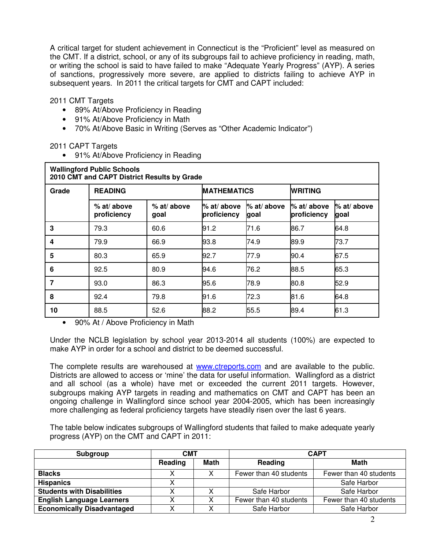A critical target for student achievement in Connecticut is the "Proficient" level as measured on the CMT. If a district, school, or any of its subgroups fail to achieve proficiency in reading, math, or writing the school is said to have failed to make "Adequate Yearly Progress" (AYP). A series of sanctions, progressively more severe, are applied to districts failing to achieve AYP in subsequent years. In 2011 the critical targets for CMT and CAPT included:

2011 CMT Targets

- 89% At/Above Proficiency in Reading
- 91% At/Above Proficiency in Math
- 70% At/Above Basic in Writing (Serves as "Other Academic Indicator")

2011 CAPT Targets

• 91% At/Above Proficiency in Reading

| <b>Wallingford Public Schools</b><br>2010 CMT and CAPT District Results by Grade |                              |                     |                            |                        |                              |                     |  |  |  |
|----------------------------------------------------------------------------------|------------------------------|---------------------|----------------------------|------------------------|------------------------------|---------------------|--|--|--|
| Grade                                                                            | <b>READING</b>               |                     | <b>MATHEMATICS</b>         |                        | <b>WRITING</b>               |                     |  |  |  |
|                                                                                  | $%$ at/ above<br>proficiency | % at/ above<br>goal | % at/ above<br>proficiency | $%$ at/ above<br>lgoal | $%$ at/ above<br>proficiency | % at/ above<br>goal |  |  |  |
| 3                                                                                | 79.3                         | 60.6                | 91.2                       | 71.6                   | 86.7                         | 64.8                |  |  |  |
| 4                                                                                | 79.9                         | 66.9                | 93.8                       | 74.9                   | 89.9                         | 73.7                |  |  |  |
| 5                                                                                | 80.3                         | 65.9                | 92.7                       | 77.9                   | 90.4                         | 67.5                |  |  |  |
| 6                                                                                | 92.5                         | 80.9                | 94.6                       | 76.2                   | 88.5                         | 65.3                |  |  |  |
| 7                                                                                | 93.0                         | 86.3                | 95.6                       | 78.9                   | 80.8                         | 52.9                |  |  |  |
| 8                                                                                | 92.4                         | 79.8                | 91.6                       | 72.3                   | 81.6                         | 64.8                |  |  |  |
| 10                                                                               | 88.5                         | 52.6                | 88.2                       | 55.5                   | 89.4                         | 61.3                |  |  |  |

• 90% At / Above Proficiency in Math

Under the NCLB legislation by school year 2013-2014 all students (100%) are expected to make AYP in order for a school and district to be deemed successful.

The complete results are warehoused at www.ctreports.com and are available to the public. Districts are allowed to access or 'mine' the data for useful information. Wallingford as a district and all school (as a whole) have met or exceeded the current 2011 targets. However, subgroups making AYP targets in reading and mathematics on CMT and CAPT has been an ongoing challenge in Wallingford since school year 2004-2005, which has been increasingly more challenging as federal proficiency targets have steadily risen over the last 6 years.

The table below indicates subgroups of Wallingford students that failed to make adequate yearly progress (AYP) on the CMT and CAPT in 2011:

| Subgroup                          | <b>CMT</b> |      | <b>CAPT</b>            |                        |  |
|-----------------------------------|------------|------|------------------------|------------------------|--|
|                                   | Reading    | Math | Reading                | Math                   |  |
| <b>Blacks</b>                     |            |      | Fewer than 40 students | Fewer than 40 students |  |
| <b>Hispanics</b>                  |            |      |                        | Safe Harbor            |  |
| <b>Students with Disabilities</b> |            | v    | Safe Harbor            | Safe Harbor            |  |
| <b>English Language Learners</b>  |            |      | Fewer than 40 students | Fewer than 40 students |  |
| <b>Economically Disadvantaged</b> |            |      | Safe Harbor            | Safe Harbor            |  |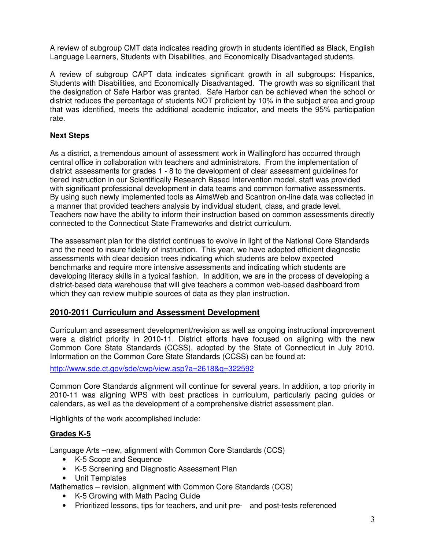A review of subgroup CMT data indicates reading growth in students identified as Black, English Language Learners, Students with Disabilities, and Economically Disadvantaged students.

A review of subgroup CAPT data indicates significant growth in all subgroups: Hispanics, Students with Disabilities, and Economically Disadvantaged. The growth was so significant that the designation of Safe Harbor was granted. Safe Harbor can be achieved when the school or district reduces the percentage of students NOT proficient by 10% in the subject area and group that was identified, meets the additional academic indicator, and meets the 95% participation rate.

## **Next Steps**

As a district, a tremendous amount of assessment work in Wallingford has occurred through central office in collaboration with teachers and administrators. From the implementation of district assessments for grades 1 - 8 to the development of clear assessment guidelines for tiered instruction in our Scientifically Research Based Intervention model, staff was provided with significant professional development in data teams and common formative assessments. By using such newly implemented tools as AimsWeb and Scantron on-line data was collected in a manner that provided teachers analysis by individual student, class, and grade level. Teachers now have the ability to inform their instruction based on common assessments directly connected to the Connecticut State Frameworks and district curriculum.

The assessment plan for the district continues to evolve in light of the National Core Standards and the need to insure fidelity of instruction. This year, we have adopted efficient diagnostic assessments with clear decision trees indicating which students are below expected benchmarks and require more intensive assessments and indicating which students are developing literacy skills in a typical fashion. In addition, we are in the process of developing a district-based data warehouse that will give teachers a common web-based dashboard from which they can review multiple sources of data as they plan instruction.

## **2010-2011 Curriculum and Assessment Development**

Curriculum and assessment development/revision as well as ongoing instructional improvement were a district priority in 2010-11. District efforts have focused on aligning with the new Common Core State Standards (CCSS), adopted by the State of Connecticut in July 2010. Information on the Common Core State Standards (CCSS) can be found at:

http://www.sde.ct.gov/sde/cwp/view.asp?a=2618&q=322592

Common Core Standards alignment will continue for several years. In addition, a top priority in 2010-11 was aligning WPS with best practices in curriculum, particularly pacing guides or calendars, as well as the development of a comprehensive district assessment plan.

Highlights of the work accomplished include:

## **Grades K-5**

Language Arts –new, alignment with Common Core Standards (CCS)

- K-5 Scope and Sequence
- K-5 Screening and Diagnostic Assessment Plan
- Unit Templates

Mathematics – revision, alignment with Common Core Standards (CCS)

- K-5 Growing with Math Pacing Guide
- Prioritized lessons, tips for teachers, and unit pre- and post-tests referenced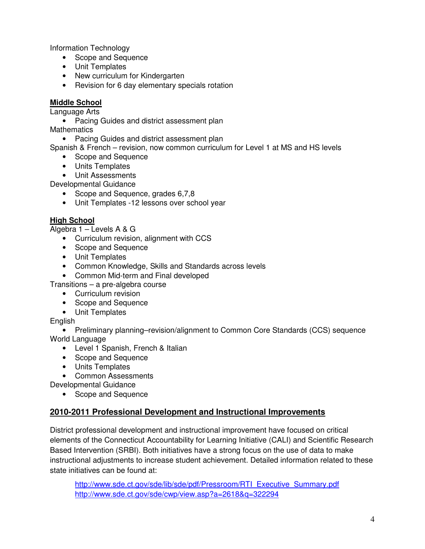Information Technology

- Scope and Sequence
- Unit Templates
- New curriculum for Kindergarten
- Revision for 6 day elementary specials rotation

## **Middle School**

Language Arts

• Pacing Guides and district assessment plan

**Mathematics** 

• Pacing Guides and district assessment plan

Spanish & French – revision, now common curriculum for Level 1 at MS and HS levels

- Scope and Sequence
- Units Templates
- Unit Assessments

Developmental Guidance

- Scope and Sequence, grades 6,7,8
- Unit Templates -12 lessons over school year

## **High School**

Algebra 1 – Levels A & G

- Curriculum revision, alignment with CCS
- Scope and Sequence
- Unit Templates
- Common Knowledge, Skills and Standards across levels
- Common Mid-term and Final developed

Transitions – a pre-algebra course

- Curriculum revision
- Scope and Sequence
- Unit Templates

#### English

• Preliminary planning–revision/alignment to Common Core Standards (CCS) sequence World Language

- Level 1 Spanish, French & Italian
- Scope and Sequence
- Units Templates

• Common Assessments

- Developmental Guidance
	- Scope and Sequence

# **2010-2011 Professional Development and Instructional Improvements**

District professional development and instructional improvement have focused on critical elements of the Connecticut Accountability for Learning Initiative (CALI) and Scientific Research Based Intervention (SRBI). Both initiatives have a strong focus on the use of data to make instructional adjustments to increase student achievement. Detailed information related to these state initiatives can be found at:

http://www.sde.ct.gov/sde/lib/sde/pdf/Pressroom/RTI\_Executive\_Summary.pdf http://www.sde.ct.gov/sde/cwp/view.asp?a=2618&q=322294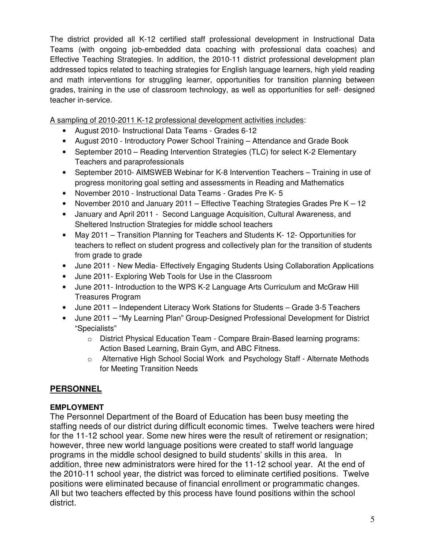The district provided all K-12 certified staff professional development in Instructional Data Teams (with ongoing job-embedded data coaching with professional data coaches) and Effective Teaching Strategies. In addition, the 2010-11 district professional development plan addressed topics related to teaching strategies for English language learners, high yield reading and math interventions for struggling learner, opportunities for transition planning between grades, training in the use of classroom technology, as well as opportunities for self- designed teacher in-service.

A sampling of 2010-2011 K-12 professional development activities includes:

- August 2010- Instructional Data Teams Grades 6-12
- August 2010 Introductory Power School Training Attendance and Grade Book
- September 2010 Reading Intervention Strategies (TLC) for select K-2 Elementary Teachers and paraprofessionals
- September 2010- AIMSWEB Webinar for K-8 Intervention Teachers Training in use of progress monitoring goal setting and assessments in Reading and Mathematics
- November 2010 Instructional Data Teams Grades Pre K- 5
- November 2010 and January 2011 Effective Teaching Strategies Grades Pre K 12
- January and April 2011 Second Language Acquisition, Cultural Awareness, and Sheltered Instruction Strategies for middle school teachers
- May 2011 Transition Planning for Teachers and Students K- 12- Opportunities for teachers to reflect on student progress and collectively plan for the transition of students from grade to grade
- June 2011 New Media- Effectively Engaging Students Using Collaboration Applications
- June 2011- Exploring Web Tools for Use in the Classroom
- June 2011- Introduction to the WPS K-2 Language Arts Curriculum and McGraw Hill Treasures Program
- June 2011 Independent Literacy Work Stations for Students Grade 3-5 Teachers
- June 2011 "My Learning Plan" Group-Designed Professional Development for District "Specialists"
	- o District Physical Education Team Compare Brain-Based learning programs: Action Based Learning, Brain Gym, and ABC Fitness.
	- o Alternative High School Social Work and Psychology Staff Alternate Methods for Meeting Transition Needs

# **PERSONNEL**

# **EMPLOYMENT**

The Personnel Department of the Board of Education has been busy meeting the staffing needs of our district during difficult economic times. Twelve teachers were hired for the 11-12 school year. Some new hires were the result of retirement or resignation; however, three new world language positions were created to staff world language programs in the middle school designed to build students' skills in this area. In addition, three new administrators were hired for the 11-12 school year. At the end of the 2010-11 school year, the district was forced to eliminate certified positions. Twelve positions were eliminated because of financial enrollment or programmatic changes. All but two teachers effected by this process have found positions within the school district.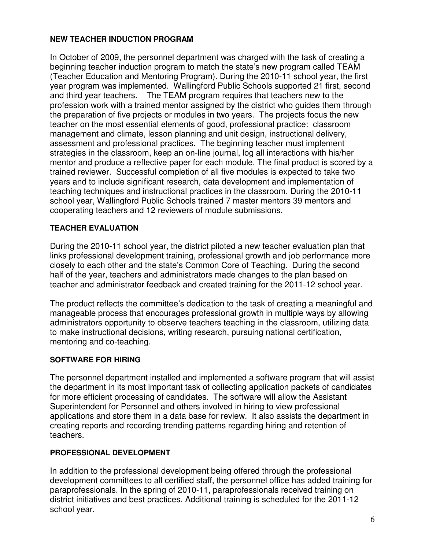## **NEW TEACHER INDUCTION PROGRAM**

In October of 2009, the personnel department was charged with the task of creating a beginning teacher induction program to match the state's new program called TEAM (Teacher Education and Mentoring Program). During the 2010-11 school year, the first year program was implemented. Wallingford Public Schools supported 21 first, second and third year teachers. The TEAM program requires that teachers new to the profession work with a trained mentor assigned by the district who guides them through the preparation of five projects or modules in two years. The projects focus the new teacher on the most essential elements of good, professional practice: classroom management and climate, lesson planning and unit design, instructional delivery, assessment and professional practices. The beginning teacher must implement strategies in the classroom, keep an on-line journal, log all interactions with his/her mentor and produce a reflective paper for each module. The final product is scored by a trained reviewer. Successful completion of all five modules is expected to take two years and to include significant research, data development and implementation of teaching techniques and instructional practices in the classroom. During the 2010-11 school year, Wallingford Public Schools trained 7 master mentors 39 mentors and cooperating teachers and 12 reviewers of module submissions.

## **TEACHER EVALUATION**

During the 2010-11 school year, the district piloted a new teacher evaluation plan that links professional development training, professional growth and job performance more closely to each other and the state's Common Core of Teaching. During the second half of the year, teachers and administrators made changes to the plan based on teacher and administrator feedback and created training for the 2011-12 school year.

The product reflects the committee's dedication to the task of creating a meaningful and manageable process that encourages professional growth in multiple ways by allowing administrators opportunity to observe teachers teaching in the classroom, utilizing data to make instructional decisions, writing research, pursuing national certification, mentoring and co-teaching.

## **SOFTWARE FOR HIRING**

The personnel department installed and implemented a software program that will assist the department in its most important task of collecting application packets of candidates for more efficient processing of candidates. The software will allow the Assistant Superintendent for Personnel and others involved in hiring to view professional applications and store them in a data base for review. It also assists the department in creating reports and recording trending patterns regarding hiring and retention of teachers.

## **PROFESSIONAL DEVELOPMENT**

In addition to the professional development being offered through the professional development committees to all certified staff, the personnel office has added training for paraprofessionals. In the spring of 2010-11, paraprofessionals received training on district initiatives and best practices. Additional training is scheduled for the 2011-12 school year.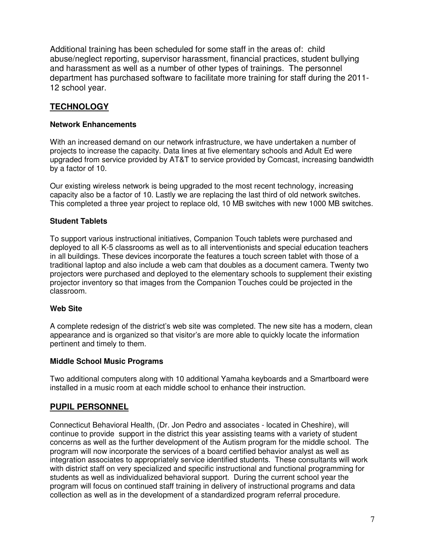Additional training has been scheduled for some staff in the areas of: child abuse/neglect reporting, supervisor harassment, financial practices, student bullying and harassment as well as a number of other types of trainings. The personnel department has purchased software to facilitate more training for staff during the 2011- 12 school year.

# **TECHNOLOGY**

#### **Network Enhancements**

With an increased demand on our network infrastructure, we have undertaken a number of projects to increase the capacity. Data lines at five elementary schools and Adult Ed were upgraded from service provided by AT&T to service provided by Comcast, increasing bandwidth by a factor of 10.

Our existing wireless network is being upgraded to the most recent technology, increasing capacity also be a factor of 10. Lastly we are replacing the last third of old network switches. This completed a three year project to replace old, 10 MB switches with new 1000 MB switches.

## **Student Tablets**

To support various instructional initiatives, Companion Touch tablets were purchased and deployed to all K-5 classrooms as well as to all interventionists and special education teachers in all buildings. These devices incorporate the features a touch screen tablet with those of a traditional laptop and also include a web cam that doubles as a document camera. Twenty two projectors were purchased and deployed to the elementary schools to supplement their existing projector inventory so that images from the Companion Touches could be projected in the classroom.

#### **Web Site**

A complete redesign of the district's web site was completed. The new site has a modern, clean appearance and is organized so that visitor's are more able to quickly locate the information pertinent and timely to them.

#### **Middle School Music Programs**

Two additional computers along with 10 additional Yamaha keyboards and a Smartboard were installed in a music room at each middle school to enhance their instruction.

# **PUPIL PERSONNEL**

Connecticut Behavioral Health, (Dr. Jon Pedro and associates - located in Cheshire), will continue to provide support in the district this year assisting teams with a variety of student concerns as well as the further development of the Autism program for the middle school. The program will now incorporate the services of a board certified behavior analyst as well as integration associates to appropriately service identified students. These consultants will work with district staff on very specialized and specific instructional and functional programming for students as well as individualized behavioral support. During the current school year the program will focus on continued staff training in delivery of instructional programs and data collection as well as in the development of a standardized program referral procedure.